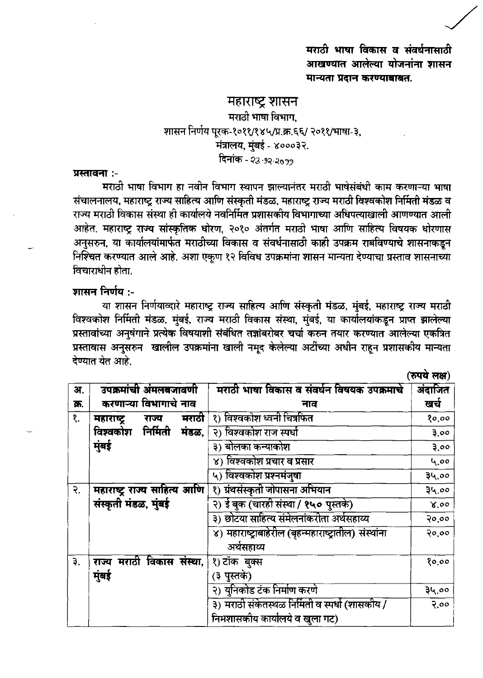मराठी भाषा विकास व संवर्धनासाठी आखण्यात आलेल्या योजनांना शासन मान्यता प्रदान करण्याबाबत.

 $(\overrightarrow{AB})$   $\overrightarrow{AB})$ 

## महाराष्ट्र शासन मराठी भाषा विभाग. शासन निर्णय पूरक-१०११/१४५/प्र.क्र.६६/ २०११/भाषा-३, .<br>मंत्रालय, मुंबई - ४०००३२. दिनांक - २३. १२.२*०१*

## प्रस्तावना :-

मराठी भाषा विभाग हा नवीन विभाग स्थापन झाल्यानंतर मराठी भाषेसंबंधी काम करणाऱ्या भाषा संचालनालय. महाराष्ट राज्य साहित्य आणि संस्कृती मंडळ. महाराष्ट्र राज्य मराठी विश्वकोश निर्मिती मंडळ व राज्य मराठी विकास संस्था ही कार्यालये नवनिर्मित प्रशासकीय विभागाच्या अधिपत्याखाली आणण्यात आली आहेत. महाराष्ट्र राज्य सांस्कृतिक धोरण. २०१० अंतर्गत मराठी भाषा आणि साहित्य विषयक धोरणास अनसरुन. या कार्यालयांमार्फत मराठीच्या विकास व संवर्धनासाठी काही उपक्रम राबविण्याचे शासनाकडून निश्चित करण्यात आले आहे. अशा एकण १२ विविध उपक्रमांना शासन मान्यता देण्याचा प्रस्ताव शासनाच्या विचाराधीन होता.

## शासन निर्णय :-

या शासन निर्णयाव्दारे महाराष्ट्र राज्य साहित्य आणि संस्कृती मंडळ, मुंबई, महाराष्ट्र राज्य मराठी विश्वकोश निर्मिती मंडळ, मुंबई, राज्य मराठी विकास संस्था, मुंबई, या कार्यालयांकडून प्राप्त झालेल्या प्रस्तावांच्या अनुषंगाने प्रत्येक विषयाशी संबंधित तज्ञांबरोबर चर्चा करुन तयार करण्यात आलेल्या एकत्रित प्रस्तावास अनसरुन खालील उपक्रमांना खाली नमद केलेल्या अटींच्या अधीन राहन प्रशासकीय मान्यता देण्यात येत आहे.

| अ.   | उपक्रमांची अंमलबजावणी        | मराठी भाषा विकास व संवर्धन विषयक उपक्रमाचे                          | अंदाजित |
|------|------------------------------|---------------------------------------------------------------------|---------|
| क्र. | करणाऱ्या विभागाचे नाव        | नाव                                                                 | खर्च    |
| ₹.   | मराठी<br>महाराष्ट<br>राज्य   | १) विश्वकोश ध्वनी चित्रफित                                          | १०,००   |
|      | विश्वकोश निर्मिती<br>मंडळ,   | २) विश्वकोश राज स्पर्धा                                             | 3.00    |
|      | मुंबई                        | ३) बोलका कन्याकोश                                                   | 3.00    |
|      |                              | ४) विश्वकोश प्रचार व प्रसार                                         | 4.00    |
|      |                              | ५) विश्वकोश प्रश्नमंजुषा                                            | ३५.००   |
| २.   | महाराष्ट्र राज्य साहित्य आणि | १) ग्रंथसंस्कृती जोपासना अभियान                                     | 34.00   |
|      | संस्कृती मंडळ, मुंबई         | २) ई बुक (चारही संस्था / १५० पुस्तके)                               | 8.00    |
|      |                              | ३) छोटया साहित्य संमेलनांकरीता अर्थसहाय्य                           | २०.००   |
|      |                              | ४) महाराष्ट्राबाहेरील (बृहन्महाराष्ट्रातील) संस्थांना<br>अर्थसहाय्य | २०,००   |
| ₹.   | राज्य मराठी विकास संस्था,    | १) टॉक बुक्स                                                        | १०,००   |
|      | मुंबई                        | (३ पुस्तके)                                                         |         |
|      |                              | २) युनिकोड टंक निर्माण करणे                                         | ३५.००   |
|      |                              | ३) मराठी संकेतस्थळ निर्मिती व स्पर्धा (शासकीय /                     | २.००    |
|      |                              | निमशासकीय कार्यालये व खुला गट)                                      |         |